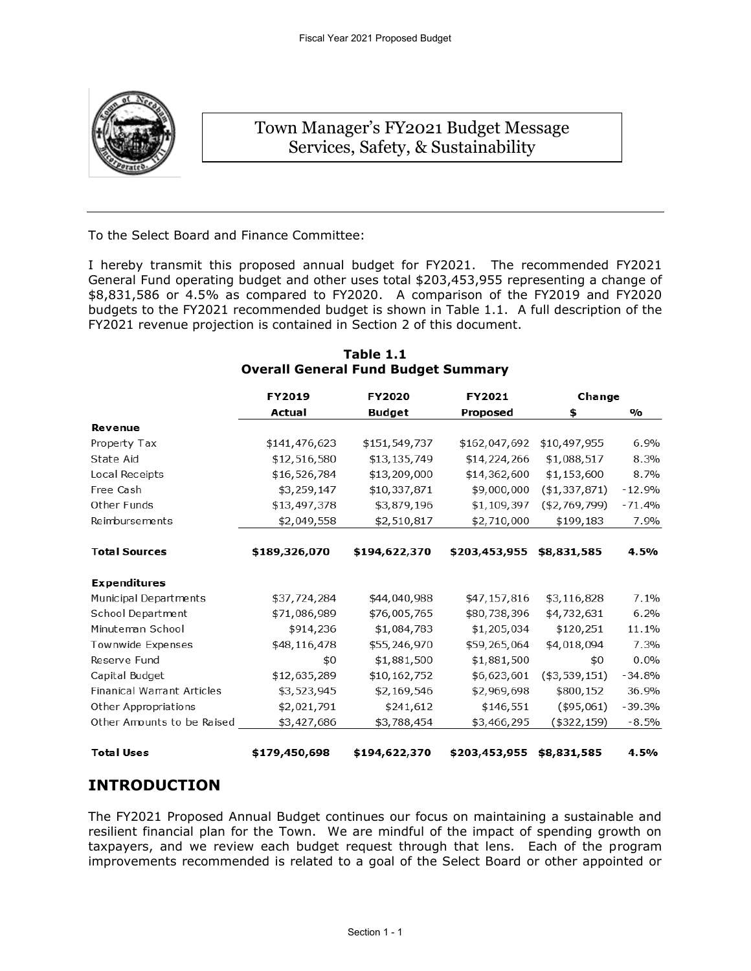

# Town Manager's FY2021 Budget Message Services, Safety, & Sustainability

To the Select Board and Finance Committee:

I hereby transmit this proposed annual budget for FY2021. The recommended FY2021 General Fund operating budget and other uses total \$203,453,955 representing a change of \$8,831,586 or 4.5% as compared to FY2020. A comparison of the FY2019 and FY2020 budgets to the FY2021 recommended budget is shown in Table 1.1. A full description of the FY2021 revenue projection is contained in Section 2 of this document.

|                                   | FY2019        | FY2020        | FY2021        | Change         |               |
|-----------------------------------|---------------|---------------|---------------|----------------|---------------|
|                                   | Actual        | Budget        | Proposed      | \$             | $\frac{0}{0}$ |
| Revenue                           |               |               |               |                |               |
| Property Tax                      | \$141,476,623 | \$151,549,737 | \$162,047,692 | \$10,497,955   | 6.9%          |
| State Aid                         | \$12,516,580  | \$13,135,749  | \$14,224,266  | \$1,088,517    | 8.3%          |
| Local Receipts                    | \$16,526,784  | \$13,209,000  | \$14,362,600  | \$1,153,600    | 8.7%          |
| Free Cash                         | \$3,259,147   | \$10,337,871  | \$9,000,000   | (\$1,337,871)  | $-12.9%$      |
| Other Funds                       | \$13,497,378  | \$3,879,196   | \$1,109,397   | (\$2,769,799)  | $-71.4%$      |
| Reimbursements                    | \$2,049,558   | \$2,510,817   | \$2,710,000   | \$199,183      | 7.9%          |
|                                   |               |               |               |                |               |
| <b>Total Sources</b>              | \$189,326,070 | \$194,622,370 | \$203,453,955 | \$8,831,585    | 4.5%          |
| <b>Expenditures</b>               |               |               |               |                |               |
| Municipal Departments             | \$37,724,284  | \$44,040,988  | \$47,157,816  | \$3,116,828    | 7.1%          |
| School Department                 | \$71,086,989  | \$76,005,765  | \$80,738,396  | \$4,732,631    | 6.2%          |
| Minuteman School                  | \$914,236     | \$1,084,783   | \$1,205,034   | \$120,251      | 11.1%         |
| Townwide Expenses                 | \$48,116,478  | \$55,246,970  | \$59,265,064  | \$4,018,094    | 7.3%          |
| Reserve Fund                      | \$0           | \$1,881,500   | \$1,881,500   | \$0            | 0.0%          |
| Capital Budget                    | \$12,635,289  | \$10,162,752  | \$6,623,601   | $(*3,539,151)$ | $-34.8%$      |
| <b>Finanical Warrant Articles</b> | \$3,523,945   | \$2,169,546   | \$2,969,698   | \$800,152      | 36.9%         |
| Other Appropriations              | \$2,021,791   | \$241,612     | \$146,551     | (\$95,061)     | $-39.3%$      |
| Other Amounts to be Raised        | \$3,427,686   | \$3,788,454   | \$3,466,295   | (\$322,159)    | $-8.5%$       |
| <b>Total Uses</b>                 | \$179,450,698 | \$194,622,370 | \$203,453,955 | \$8,831,585    | 4.5%          |

#### **Table 1.1 Overall General Fund Budget Summary**

# **INTRODUCTION**

The FY2021 Proposed Annual Budget continues our focus on maintaining a sustainable and resilient financial plan for the Town. We are mindful of the impact of spending growth on taxpayers, and we review each budget request through that lens. Each of the program improvements recommended is related to a goal of the Select Board or other appointed or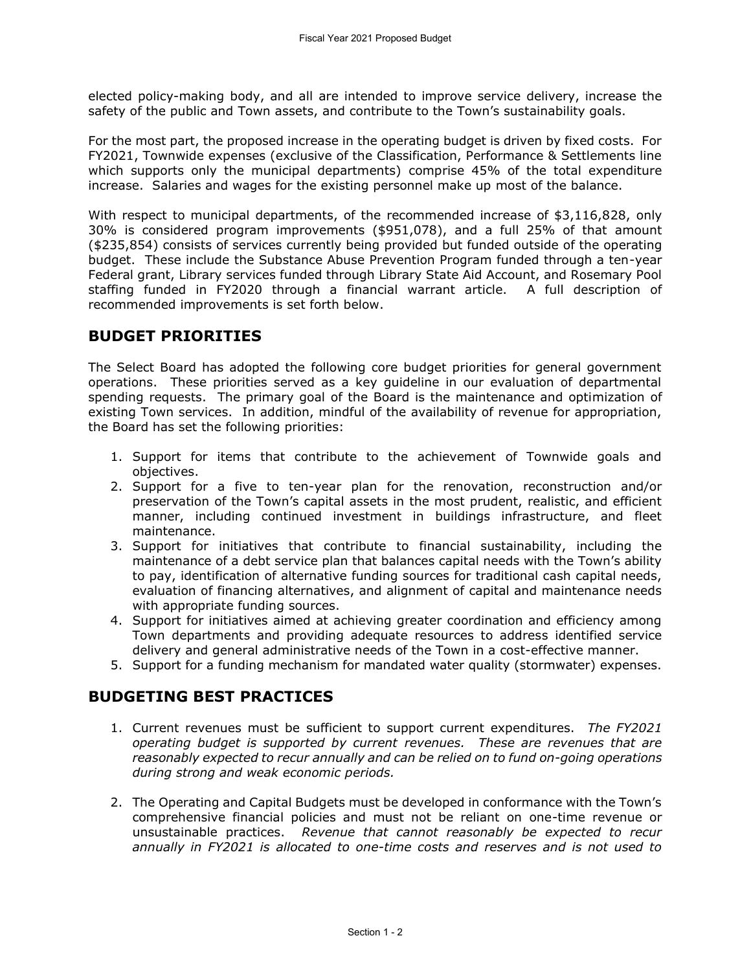elected policy-making body, and all are intended to improve service delivery, increase the safety of the public and Town assets, and contribute to the Town's sustainability goals.

For the most part, the proposed increase in the operating budget is driven by fixed costs. For FY2021, Townwide expenses (exclusive of the Classification, Performance & Settlements line which supports only the municipal departments) comprise 45% of the total expenditure increase. Salaries and wages for the existing personnel make up most of the balance.

With respect to municipal departments, of the recommended increase of \$3,116,828, only 30% is considered program improvements (\$951,078), and a full 25% of that amount (\$235,854) consists of services currently being provided but funded outside of the operating budget. These include the Substance Abuse Prevention Program funded through a ten-year Federal grant, Library services funded through Library State Aid Account, and Rosemary Pool staffing funded in FY2020 through a financial warrant article. A full description of recommended improvements is set forth below.

# **BUDGET PRIORITIES**

The Select Board has adopted the following core budget priorities for general government operations. These priorities served as a key guideline in our evaluation of departmental spending requests. The primary goal of the Board is the maintenance and optimization of existing Town services. In addition, mindful of the availability of revenue for appropriation, the Board has set the following priorities:

- 1. Support for items that contribute to the achievement of Townwide goals and objectives.
- 2. Support for a five to ten-year plan for the renovation, reconstruction and/or preservation of the Town's capital assets in the most prudent, realistic, and efficient manner, including continued investment in buildings infrastructure, and fleet maintenance.
- 3. Support for initiatives that contribute to financial sustainability, including the maintenance of a debt service plan that balances capital needs with the Town's ability to pay, identification of alternative funding sources for traditional cash capital needs, evaluation of financing alternatives, and alignment of capital and maintenance needs with appropriate funding sources.
- 4. Support for initiatives aimed at achieving greater coordination and efficiency among Town departments and providing adequate resources to address identified service delivery and general administrative needs of the Town in a cost-effective manner.
- 5. Support for a funding mechanism for mandated water quality (stormwater) expenses.

### **BUDGETING BEST PRACTICES**

- 1. Current revenues must be sufficient to support current expenditures. *The FY2021 operating budget is supported by current revenues. These are revenues that are reasonably expected to recur annually and can be relied on to fund on-going operations during strong and weak economic periods.*
- 2. The Operating and Capital Budgets must be developed in conformance with the Town's comprehensive financial policies and must not be reliant on one-time revenue or unsustainable practices. *Revenue that cannot reasonably be expected to recur annually in FY2021 is allocated to one-time costs and reserves and is not used to*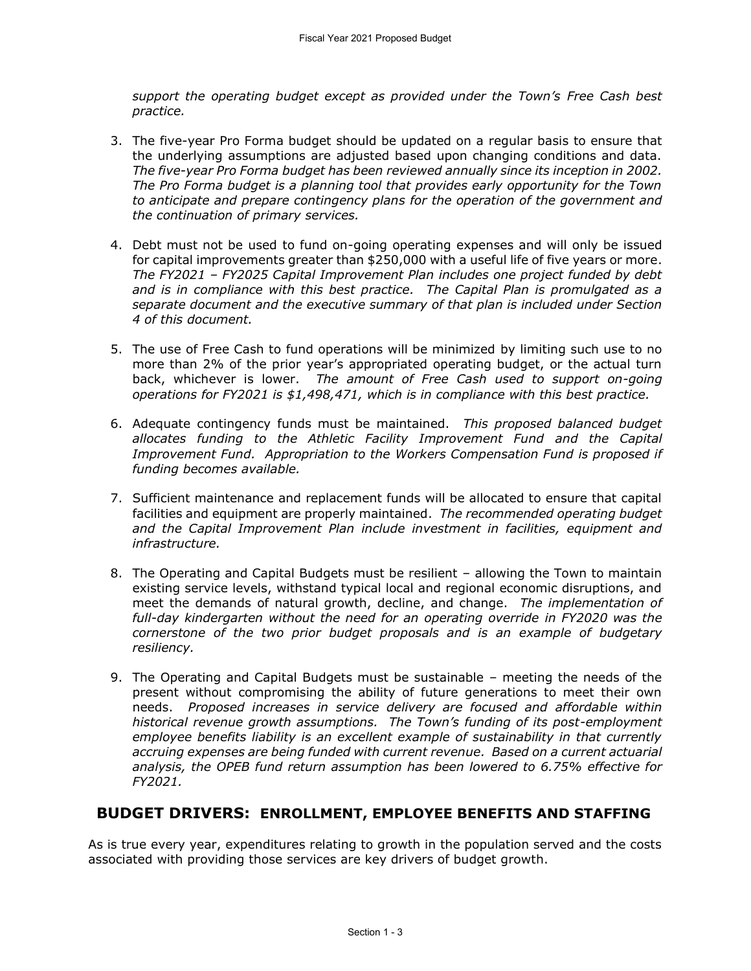*support the operating budget except as provided under the Town's Free Cash best practice.* 

- 3. The five-year Pro Forma budget should be updated on a regular basis to ensure that the underlying assumptions are adjusted based upon changing conditions and data. *The five-year Pro Forma budget has been reviewed annually since its inception in 2002. The Pro Forma budget is a planning tool that provides early opportunity for the Town to anticipate and prepare contingency plans for the operation of the government and the continuation of primary services.*
- 4. Debt must not be used to fund on-going operating expenses and will only be issued for capital improvements greater than \$250,000 with a useful life of five years or more. *The FY2021 – FY2025 Capital Improvement Plan includes one project funded by debt and is in compliance with this best practice. The Capital Plan is promulgated as a separate document and the executive summary of that plan is included under Section 4 of this document.*
- 5. The use of Free Cash to fund operations will be minimized by limiting such use to no more than 2% of the prior year's appropriated operating budget, or the actual turn back, whichever is lower. *The amount of Free Cash used to support on-going operations for FY2021 is \$1,498,471, which is in compliance with this best practice.*
- 6. Adequate contingency funds must be maintained. *This proposed balanced budget allocates funding to the Athletic Facility Improvement Fund and the Capital Improvement Fund. Appropriation to the Workers Compensation Fund is proposed if funding becomes available.*
- 7. Sufficient maintenance and replacement funds will be allocated to ensure that capital facilities and equipment are properly maintained. *The recommended operating budget and the Capital Improvement Plan include investment in facilities, equipment and infrastructure.*
- 8. The Operating and Capital Budgets must be resilient allowing the Town to maintain existing service levels, withstand typical local and regional economic disruptions, and meet the demands of natural growth, decline, and change. *The implementation of full-day kindergarten without the need for an operating override in FY2020 was the cornerstone of the two prior budget proposals and is an example of budgetary resiliency.*
- 9. The Operating and Capital Budgets must be sustainable meeting the needs of the present without compromising the ability of future generations to meet their own needs. *Proposed increases in service delivery are focused and affordable within historical revenue growth assumptions. The Town's funding of its post-employment employee benefits liability is an excellent example of sustainability in that currently accruing expenses are being funded with current revenue. Based on a current actuarial analysis, the OPEB fund return assumption has been lowered to 6.75% effective for FY2021.*

### **BUDGET DRIVERS: ENROLLMENT, EMPLOYEE BENEFITS AND STAFFING**

As is true every year, expenditures relating to growth in the population served and the costs associated with providing those services are key drivers of budget growth.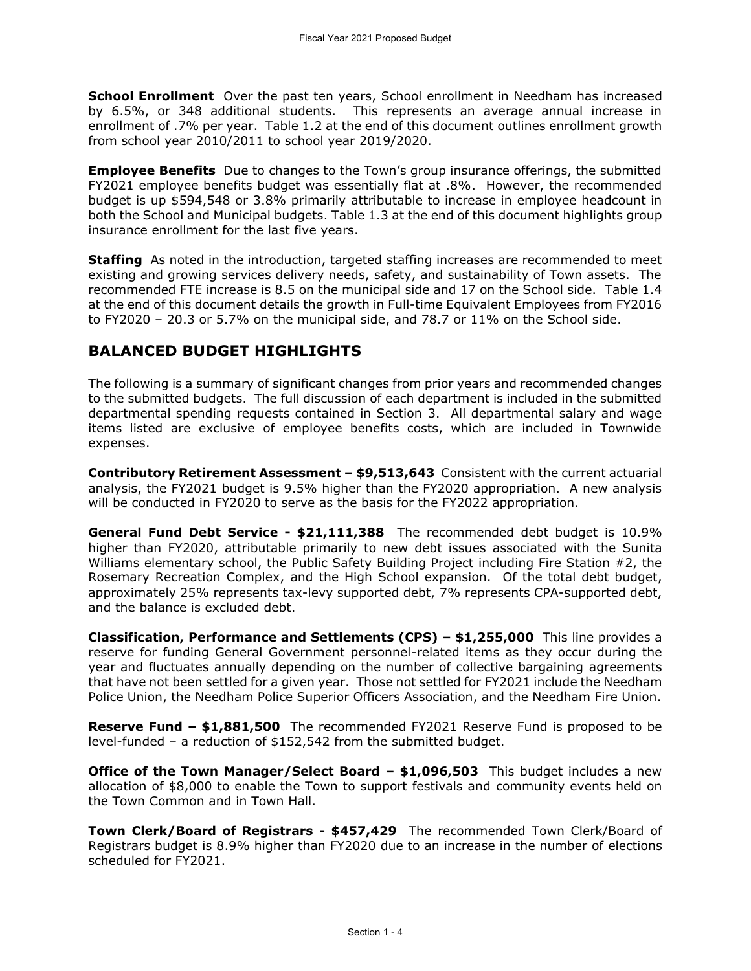**School Enrollment** Over the past ten years, School enrollment in Needham has increased by 6.5%, or 348 additional students. This represents an average annual increase in enrollment of .7% per year. Table 1.2 at the end of this document outlines enrollment growth from school year 2010/2011 to school year 2019/2020.

**Employee Benefits** Due to changes to the Town's group insurance offerings, the submitted FY2021 employee benefits budget was essentially flat at .8%. However, the recommended budget is up \$594,548 or 3.8% primarily attributable to increase in employee headcount in both the School and Municipal budgets. Table 1.3 at the end of this document highlights group insurance enrollment for the last five years.

**Staffing** As noted in the introduction, targeted staffing increases are recommended to meet existing and growing services delivery needs, safety, and sustainability of Town assets. The recommended FTE increase is 8.5 on the municipal side and 17 on the School side. Table 1.4 at the end of this document details the growth in Full-time Equivalent Employees from FY2016 to FY2020 – 20.3 or 5.7% on the municipal side, and 78.7 or 11% on the School side.

## **BALANCED BUDGET HIGHLIGHTS**

The following is a summary of significant changes from prior years and recommended changes to the submitted budgets. The full discussion of each department is included in the submitted departmental spending requests contained in Section 3. All departmental salary and wage items listed are exclusive of employee benefits costs, which are included in Townwide expenses.

**Contributory Retirement Assessment – \$9,513,643** Consistent with the current actuarial analysis, the FY2021 budget is 9.5% higher than the FY2020 appropriation. A new analysis will be conducted in FY2020 to serve as the basis for the FY2022 appropriation.

**General Fund Debt Service - \$21,111,388** The recommended debt budget is 10.9% higher than FY2020, attributable primarily to new debt issues associated with the Sunita Williams elementary school, the Public Safety Building Project including Fire Station #2, the Rosemary Recreation Complex, and the High School expansion. Of the total debt budget, approximately 25% represents tax-levy supported debt, 7% represents CPA-supported debt, and the balance is excluded debt.

**Classification, Performance and Settlements (CPS) – \$1,255,000** This line provides a reserve for funding General Government personnel-related items as they occur during the year and fluctuates annually depending on the number of collective bargaining agreements that have not been settled for a given year. Those not settled for FY2021 include the Needham Police Union, the Needham Police Superior Officers Association, and the Needham Fire Union.

**Reserve Fund – \$1,881,500** The recommended FY2021 Reserve Fund is proposed to be level-funded – a reduction of \$152,542 from the submitted budget.

**Office of the Town Manager/Select Board – \$1,096,503** This budget includes a new allocation of \$8,000 to enable the Town to support festivals and community events held on the Town Common and in Town Hall.

**Town Clerk/Board of Registrars - \$457,429** The recommended Town Clerk/Board of Registrars budget is 8.9% higher than FY2020 due to an increase in the number of elections scheduled for FY2021.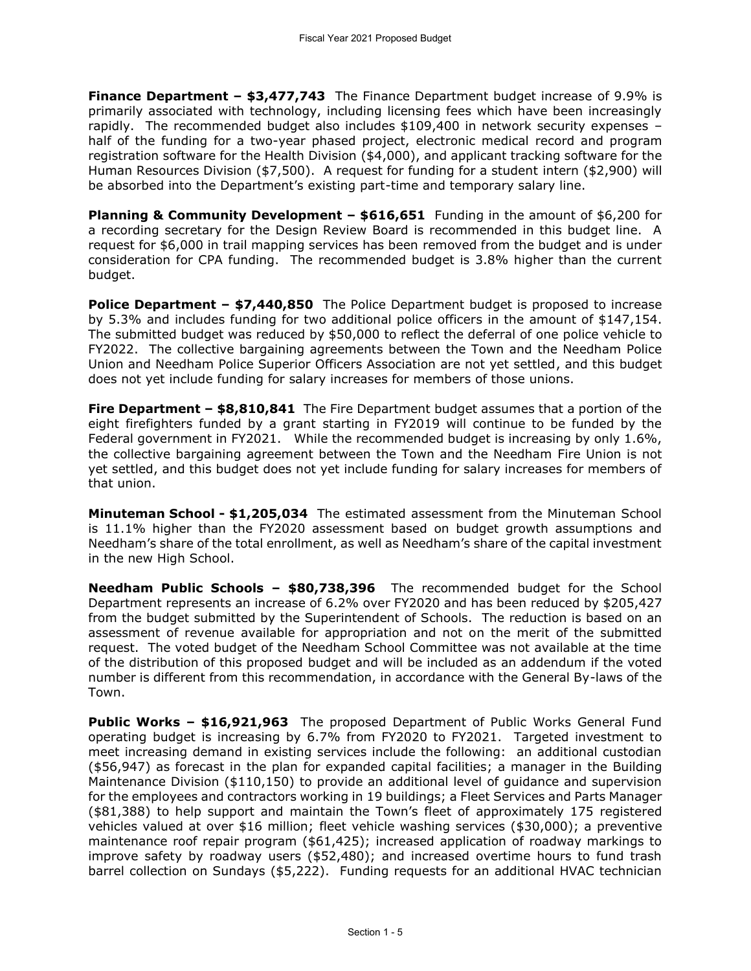**Finance Department – \$3,477,743** The Finance Department budget increase of 9.9% is primarily associated with technology, including licensing fees which have been increasingly rapidly. The recommended budget also includes \$109,400 in network security expenses – half of the funding for a two-year phased project, electronic medical record and program registration software for the Health Division (\$4,000), and applicant tracking software for the Human Resources Division (\$7,500). A request for funding for a student intern (\$2,900) will be absorbed into the Department's existing part-time and temporary salary line.

**Planning & Community Development – \$616,651** Funding in the amount of \$6,200 for a recording secretary for the Design Review Board is recommended in this budget line. A request for \$6,000 in trail mapping services has been removed from the budget and is under consideration for CPA funding. The recommended budget is 3.8% higher than the current budget.

**Police Department – \$7,440,850** The Police Department budget is proposed to increase by 5.3% and includes funding for two additional police officers in the amount of \$147,154. The submitted budget was reduced by \$50,000 to reflect the deferral of one police vehicle to FY2022. The collective bargaining agreements between the Town and the Needham Police Union and Needham Police Superior Officers Association are not yet settled, and this budget does not yet include funding for salary increases for members of those unions.

**Fire Department – \$8,810,841** The Fire Department budget assumes that a portion of the eight firefighters funded by a grant starting in FY2019 will continue to be funded by the Federal government in FY2021. While the recommended budget is increasing by only 1.6%, the collective bargaining agreement between the Town and the Needham Fire Union is not yet settled, and this budget does not yet include funding for salary increases for members of that union.

**Minuteman School - \$1,205,034** The estimated assessment from the Minuteman School is 11.1% higher than the FY2020 assessment based on budget growth assumptions and Needham's share of the total enrollment, as well as Needham's share of the capital investment in the new High School.

**Needham Public Schools – \$80,738,396** The recommended budget for the School Department represents an increase of 6.2% over FY2020 and has been reduced by \$205,427 from the budget submitted by the Superintendent of Schools. The reduction is based on an assessment of revenue available for appropriation and not on the merit of the submitted request. The voted budget of the Needham School Committee was not available at the time of the distribution of this proposed budget and will be included as an addendum if the voted number is different from this recommendation, in accordance with the General By-laws of the Town.

**Public Works – \$16,921,963** The proposed Department of Public Works General Fund operating budget is increasing by 6.7% from FY2020 to FY2021. Targeted investment to meet increasing demand in existing services include the following: an additional custodian (\$56,947) as forecast in the plan for expanded capital facilities; a manager in the Building Maintenance Division (\$110,150) to provide an additional level of guidance and supervision for the employees and contractors working in 19 buildings; a Fleet Services and Parts Manager (\$81,388) to help support and maintain the Town's fleet of approximately 175 registered vehicles valued at over \$16 million; fleet vehicle washing services (\$30,000); a preventive maintenance roof repair program (\$61,425); increased application of roadway markings to improve safety by roadway users (\$52,480); and increased overtime hours to fund trash barrel collection on Sundays (\$5,222). Funding requests for an additional HVAC technician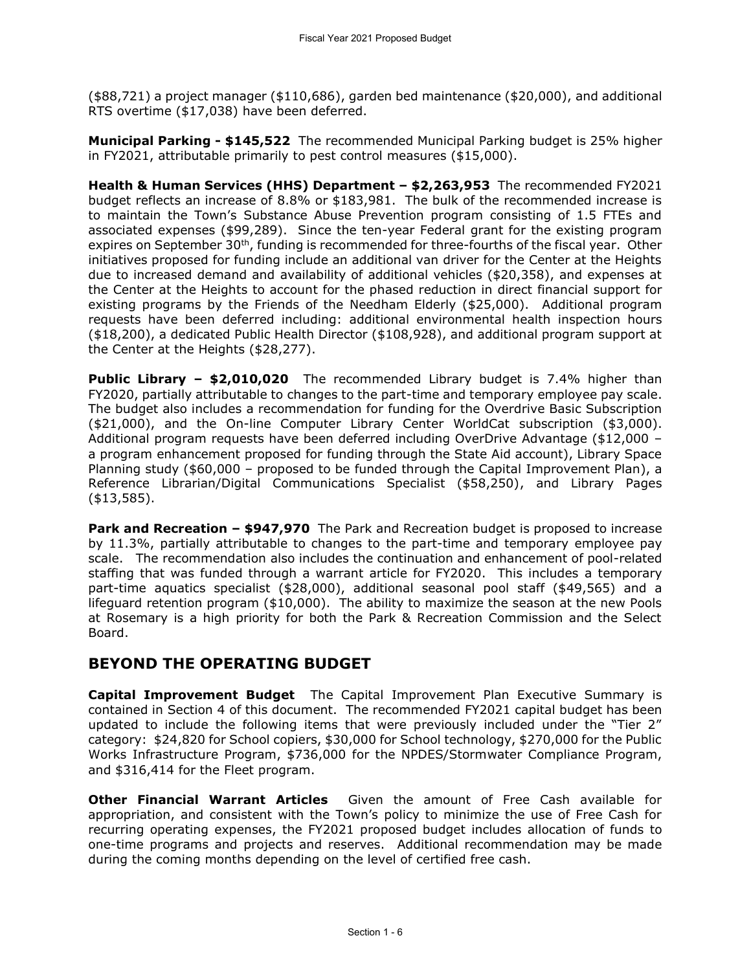(\$88,721) a project manager (\$110,686), garden bed maintenance (\$20,000), and additional RTS overtime (\$17,038) have been deferred.

**Municipal Parking - \$145,522** The recommended Municipal Parking budget is 25% higher in FY2021, attributable primarily to pest control measures (\$15,000).

**Health & Human Services (HHS) Department – \$2,263,953** The recommended FY2021 budget reflects an increase of 8.8% or \$183,981. The bulk of the recommended increase is to maintain the Town's Substance Abuse Prevention program consisting of 1.5 FTEs and associated expenses (\$99,289). Since the ten-year Federal grant for the existing program expires on September 30<sup>th</sup>, funding is recommended for three-fourths of the fiscal year. Other initiatives proposed for funding include an additional van driver for the Center at the Heights due to increased demand and availability of additional vehicles (\$20,358), and expenses at the Center at the Heights to account for the phased reduction in direct financial support for existing programs by the Friends of the Needham Elderly (\$25,000). Additional program requests have been deferred including: additional environmental health inspection hours (\$18,200), a dedicated Public Health Director (\$108,928), and additional program support at the Center at the Heights (\$28,277).

**Public Library – \$2,010,020** The recommended Library budget is 7.4% higher than FY2020, partially attributable to changes to the part-time and temporary employee pay scale. The budget also includes a recommendation for funding for the Overdrive Basic Subscription (\$21,000), and the On-line Computer Library Center WorldCat subscription (\$3,000). Additional program requests have been deferred including OverDrive Advantage (\$12,000 – a program enhancement proposed for funding through the State Aid account), Library Space Planning study (\$60,000 – proposed to be funded through the Capital Improvement Plan), a Reference Librarian/Digital Communications Specialist (\$58,250), and Library Pages (\$13,585).

**Park and Recreation – \$947,970** The Park and Recreation budget is proposed to increase by 11.3%, partially attributable to changes to the part-time and temporary employee pay scale. The recommendation also includes the continuation and enhancement of pool-related staffing that was funded through a warrant article for FY2020. This includes a temporary part-time aquatics specialist (\$28,000), additional seasonal pool staff (\$49,565) and a lifeguard retention program (\$10,000). The ability to maximize the season at the new Pools at Rosemary is a high priority for both the Park & Recreation Commission and the Select Board.

## **BEYOND THE OPERATING BUDGET**

**Capital Improvement Budget** The Capital Improvement Plan Executive Summary is contained in Section 4 of this document. The recommended FY2021 capital budget has been updated to include the following items that were previously included under the "Tier 2" category: \$24,820 for School copiers, \$30,000 for School technology, \$270,000 for the Public Works Infrastructure Program, \$736,000 for the NPDES/Stormwater Compliance Program, and \$316,414 for the Fleet program.

**Other Financial Warrant Articles** Given the amount of Free Cash available for appropriation, and consistent with the Town's policy to minimize the use of Free Cash for recurring operating expenses, the FY2021 proposed budget includes allocation of funds to one-time programs and projects and reserves. Additional recommendation may be made during the coming months depending on the level of certified free cash.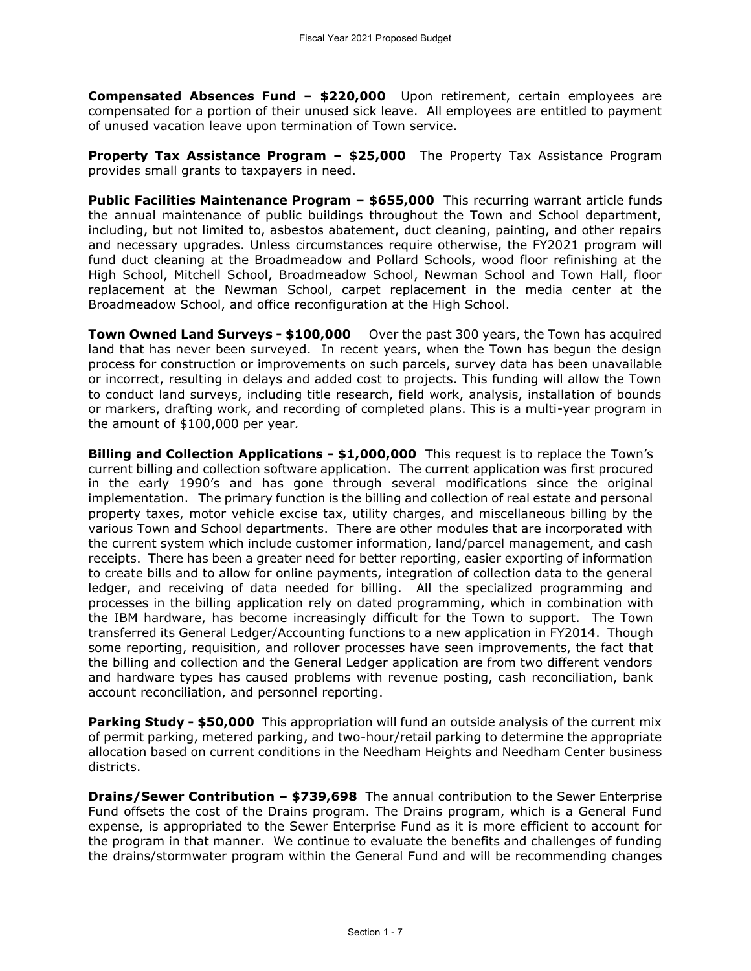**Compensated Absences Fund – \$220,000** Upon retirement, certain employees are compensated for a portion of their unused sick leave. All employees are entitled to payment of unused vacation leave upon termination of Town service.

**Property Tax Assistance Program – \$25,000** The Property Tax Assistance Program provides small grants to taxpayers in need.

**Public Facilities Maintenance Program – \$655,000** This recurring warrant article funds the annual maintenance of public buildings throughout the Town and School department, including, but not limited to, asbestos abatement, duct cleaning, painting, and other repairs and necessary upgrades. Unless circumstances require otherwise, the FY2021 program will fund duct cleaning at the Broadmeadow and Pollard Schools, wood floor refinishing at the High School, Mitchell School, Broadmeadow School, Newman School and Town Hall, floor replacement at the Newman School, carpet replacement in the media center at the Broadmeadow School, and office reconfiguration at the High School.

**Town Owned Land Surveys - \$100,000** Over the past 300 years, the Town has acquired land that has never been surveyed. In recent years, when the Town has begun the design process for construction or improvements on such parcels, survey data has been unavailable or incorrect, resulting in delays and added cost to projects. This funding will allow the Town to conduct land surveys, including title research, field work, analysis, installation of bounds or markers, drafting work, and recording of completed plans. This is a multi-year program in the amount of \$100,000 per year*.* 

**Billing and Collection Applications - \$1,000,000** This request is to replace the Town's current billing and collection software application. The current application was first procured in the early 1990's and has gone through several modifications since the original implementation. The primary function is the billing and collection of real estate and personal property taxes, motor vehicle excise tax, utility charges, and miscellaneous billing by the various Town and School departments. There are other modules that are incorporated with the current system which include customer information, land/parcel management, and cash receipts. There has been a greater need for better reporting, easier exporting of information to create bills and to allow for online payments, integration of collection data to the general ledger, and receiving of data needed for billing. All the specialized programming and processes in the billing application rely on dated programming, which in combination with the IBM hardware, has become increasingly difficult for the Town to support. The Town transferred its General Ledger/Accounting functions to a new application in FY2014. Though some reporting, requisition, and rollover processes have seen improvements, the fact that the billing and collection and the General Ledger application are from two different vendors and hardware types has caused problems with revenue posting, cash reconciliation, bank account reconciliation, and personnel reporting.

**Parking Study - \$50,000** This appropriation will fund an outside analysis of the current mix of permit parking, metered parking, and two-hour/retail parking to determine the appropriate allocation based on current conditions in the Needham Heights and Needham Center business districts.

**Drains/Sewer Contribution – \$739,698** The annual contribution to the Sewer Enterprise Fund offsets the cost of the Drains program. The Drains program, which is a General Fund expense, is appropriated to the Sewer Enterprise Fund as it is more efficient to account for the program in that manner. We continue to evaluate the benefits and challenges of funding the drains/stormwater program within the General Fund and will be recommending changes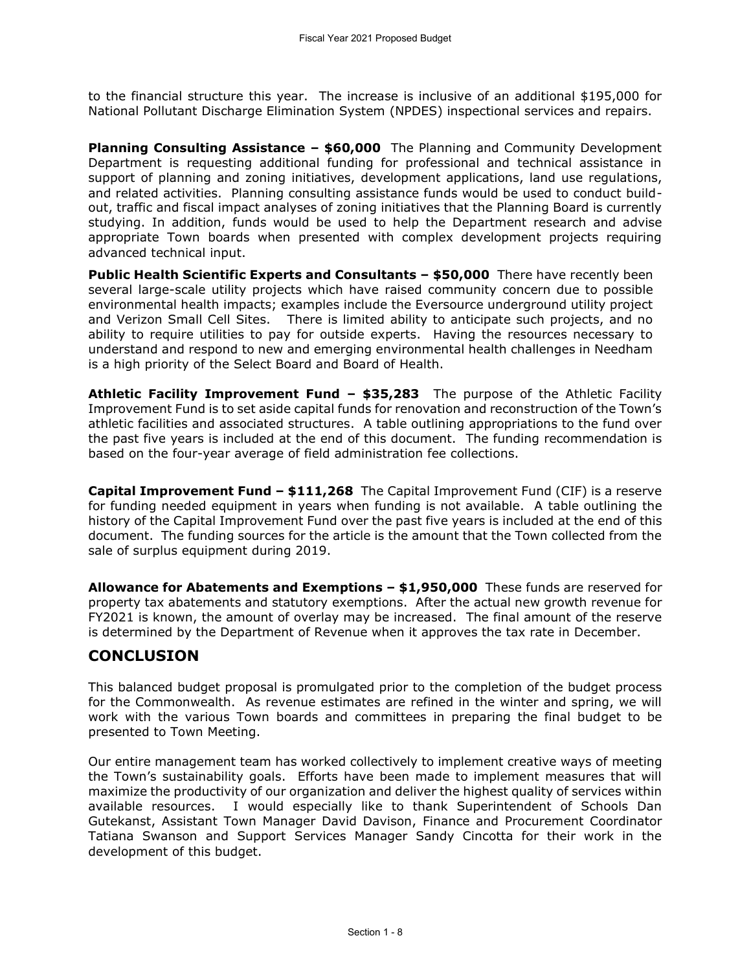to the financial structure this year. The increase is inclusive of an additional \$195,000 for National Pollutant Discharge Elimination System (NPDES) inspectional services and repairs.

**Planning Consulting Assistance – \$60,000** The Planning and Community Development Department is requesting additional funding for professional and technical assistance in support of planning and zoning initiatives, development applications, land use regulations, and related activities. Planning consulting assistance funds would be used to conduct buildout, traffic and fiscal impact analyses of zoning initiatives that the Planning Board is currently studying. In addition, funds would be used to help the Department research and advise appropriate Town boards when presented with complex development projects requiring advanced technical input.

**Public Health Scientific Experts and Consultants – \$50,000** There have recently been several large-scale utility projects which have raised community concern due to possible environmental health impacts; examples include the Eversource underground utility project and Verizon Small Cell Sites. There is limited ability to anticipate such projects, and no ability to require utilities to pay for outside experts. Having the resources necessary to understand and respond to new and emerging environmental health challenges in Needham is a high priority of the Select Board and Board of Health.

**Athletic Facility Improvement Fund – \$35,283** The purpose of the Athletic Facility Improvement Fund is to set aside capital funds for renovation and reconstruction of the Town's athletic facilities and associated structures. A table outlining appropriations to the fund over the past five years is included at the end of this document. The funding recommendation is based on the four-year average of field administration fee collections.

**Capital Improvement Fund – \$111,268** The Capital Improvement Fund (CIF) is a reserve for funding needed equipment in years when funding is not available. A table outlining the history of the Capital Improvement Fund over the past five years is included at the end of this document. The funding sources for the article is the amount that the Town collected from the sale of surplus equipment during 2019.

**Allowance for Abatements and Exemptions – \$1,950,000** These funds are reserved for property tax abatements and statutory exemptions. After the actual new growth revenue for FY2021 is known, the amount of overlay may be increased. The final amount of the reserve is determined by the Department of Revenue when it approves the tax rate in December.

# **CONCLUSION**

This balanced budget proposal is promulgated prior to the completion of the budget process for the Commonwealth. As revenue estimates are refined in the winter and spring, we will work with the various Town boards and committees in preparing the final budget to be presented to Town Meeting.

Our entire management team has worked collectively to implement creative ways of meeting the Town's sustainability goals. Efforts have been made to implement measures that will maximize the productivity of our organization and deliver the highest quality of services within available resources. I would especially like to thank Superintendent of Schools Dan Gutekanst, Assistant Town Manager David Davison, Finance and Procurement Coordinator Tatiana Swanson and Support Services Manager Sandy Cincotta for their work in the development of this budget.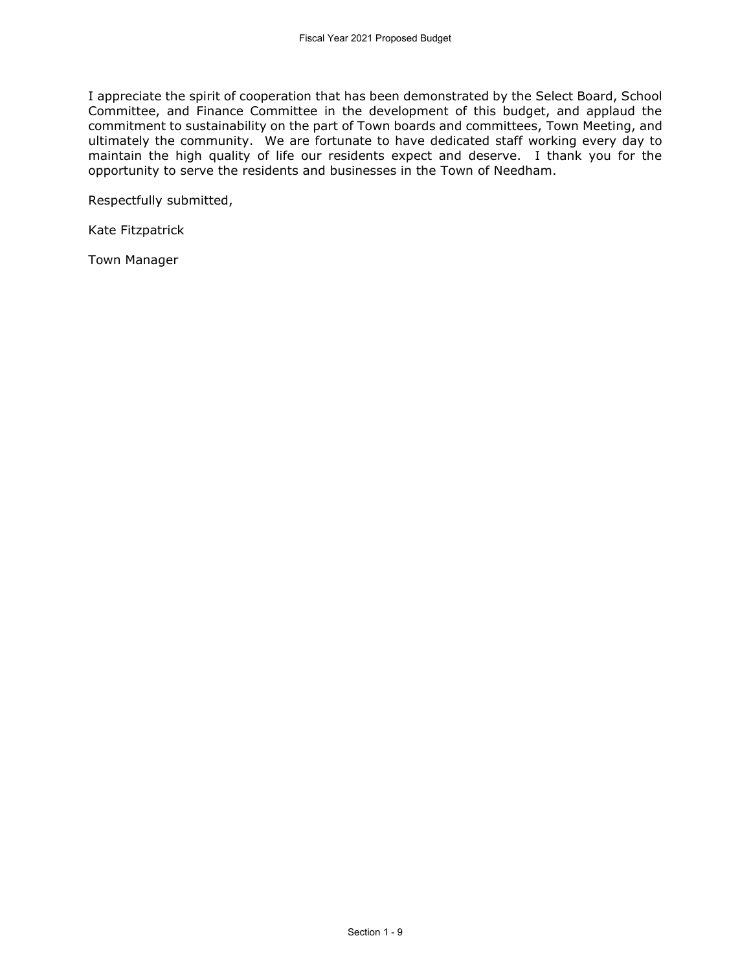I appreciate the spirit of cooperation that has been demonstrated by the Select Board, School Committee, and Finance Committee in the development of this budget, and applaud the commitment to sustainability on the part of Town boards and committees, Town Meeting, and ultimately the community. We are fortunate to have dedicated staff working every day to maintain the high quality of life our residents expect and deserve. I thank you for the opportunity to serve the residents and businesses in the Town of Needham.

Respectfully submitted,

Kate Fitzpatrick

Town Manager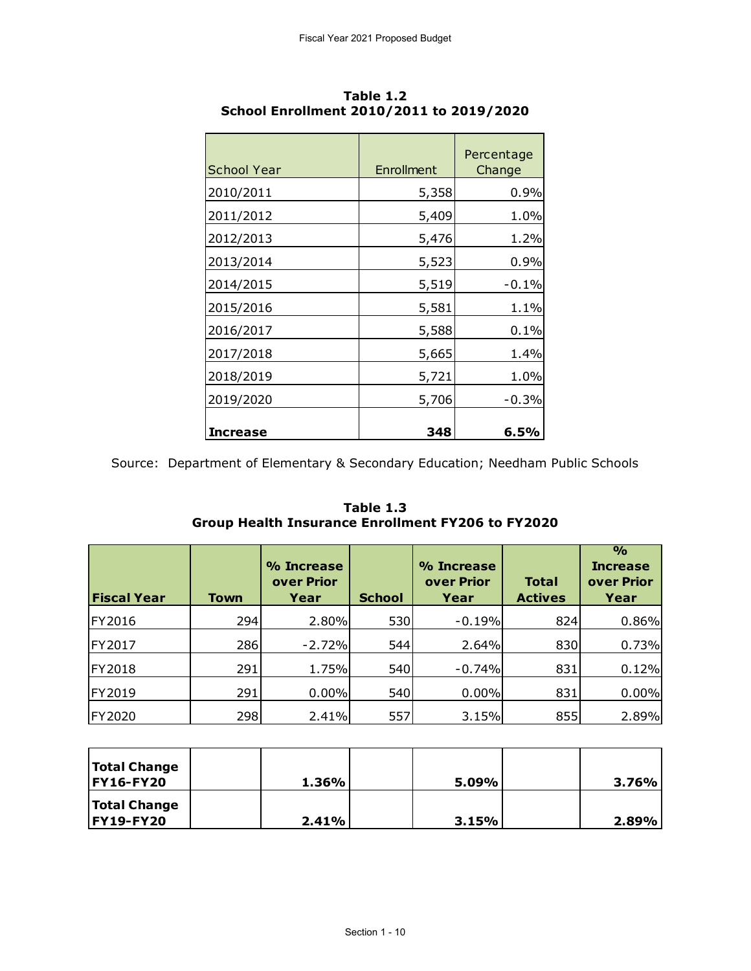| School Year | Enrollment | Percentage<br>Change |
|-------------|------------|----------------------|
| 2010/2011   | 5,358      | 0.9%                 |
| 2011/2012   | 5,409      | 1.0%                 |
| 2012/2013   | 5,476      | 1.2%                 |
| 2013/2014   | 5,523      | 0.9%                 |
| 2014/2015   | 5,519      | $-0.1%$              |
| 2015/2016   | 5,581      | 1.1%                 |
| 2016/2017   | 5,588      | 0.1%                 |
| 2017/2018   | 5,665      | 1.4%                 |
| 2018/2019   | 5,721      | 1.0%                 |
| 2019/2020   | 5,706      | $-0.3%$              |
| Increase    | 348        | 6.5%                 |

**Table 1.2 School Enrollment 2010/2011 to 2019/2020**

Source: Department of Elementary & Secondary Education; Needham Public Schools

**Table 1.3 Group Health Insurance Enrollment FY206 to FY2020**

| Table 1.3<br><b>Group Health Insurance Enrollment FY206 to FY2020</b> |             |                                  |               |                                  |                                |                                                        |  |  |  |
|-----------------------------------------------------------------------|-------------|----------------------------------|---------------|----------------------------------|--------------------------------|--------------------------------------------------------|--|--|--|
| <b>Fiscal Year</b>                                                    | <b>Town</b> | % Increase<br>over Prior<br>Year | <b>School</b> | % Increase<br>over Prior<br>Year | <b>Total</b><br><b>Actives</b> | $\frac{0}{0}$<br><b>Increase</b><br>over Prior<br>Year |  |  |  |
| FY2016                                                                | 294         | 2.80%                            | 530           | $-0.19%$                         | 824                            | 0.86%                                                  |  |  |  |
| FY2017                                                                | 286         | $-2.72%$                         | 544           | 2.64%                            | 830                            | 0.73%                                                  |  |  |  |
| FY2018                                                                | 291         | 1.75%                            | 540           | $-0.74%$                         | 831                            | 0.12%                                                  |  |  |  |
| FY2019                                                                | 291         | 0.00%                            | 540           | 0.00%                            | 831                            | 0.00%                                                  |  |  |  |
| FY2020                                                                | 298         | 2.41%                            | 557           | 3.15%                            | 855                            | 2.89%                                                  |  |  |  |

| <b>Total Change</b><br><b>FY16-FY20</b> | 1.36% | 5.09% | $3.76\%$ |
|-----------------------------------------|-------|-------|----------|
| <b>Total Change</b><br><b>FY19-FY20</b> | 2.41% | 3.15% | 2.89%    |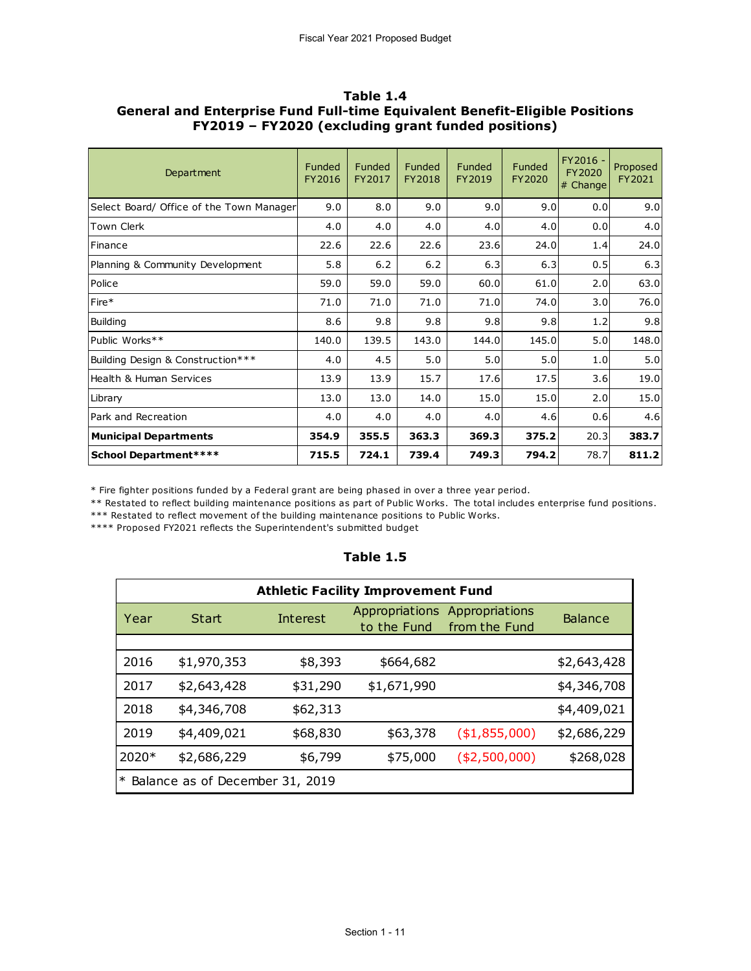| Department                               | Funded<br>FY2016 | Funded<br>FY2017 | Funded<br>FY2018 | Funded<br>FY2019 | Funded<br>FY2020 | FY2016 -<br>FY2020<br>$#$ Change | Proposed<br>FY2021 |
|------------------------------------------|------------------|------------------|------------------|------------------|------------------|----------------------------------|--------------------|
| Select Board/ Office of the Town Manager | 9.0              | 8.0              | 9.0              | 9.0              | 9.0              | 0.0                              | 9.0                |
| Town Clerk                               | 4.0              | 4.0              | 4.0              | 4.0              | 4.0              | 0.0                              | 4.0                |
| Finance                                  | 22.6             | 22.6             | 22.6             | 23.6             | 24.0             | 1.4                              | 24.0               |
| Planning & Community Development         | 5.8              | $6.2$            | 6.2              | 6.3              | 6.3              | 0.5                              | 6.3                |
| Police                                   | 59.0             | 59.0             | 59.0             | 60.0             | 61.0             | 2.0                              | 63.0               |
| Fire*                                    | 71.0             | 71.0             | 71.0             | 71.0             | 74.0             | 3.0                              | 76.0               |
| Building                                 | 8.6              | 9.8              | 9.8              | 9.8              | 9.8              | 1.2                              | 9.8                |
| Public Works**                           | 140.0            | 139.5            | 143.0            | 144.0            | 145.0            | 5.0                              | 148.0              |
| Building Design & Construction***        | 4.0              | 4.5              | 5.0              | 5.0              | 5.0              | 1.0                              | 5.0                |
| Health & Human Services                  | 13.9             | 13.9             | 15.7             | 17.6             | 17.5             | 3.6                              | 19.0               |
| Library                                  | 13.0             | 13.0             | 14.0             | 15.0             | 15.0             | 2.0                              | 15.0               |
| Park and Recreation                      | 4.0              | 4.0              | 4.0              | 4.0              | 4.6              | 0.6                              | 4.6                |
| <b>Municipal Departments</b>             | 354.9            | 355.5            | 363.3            | 369.3            | 375.2            | 20.3                             | 383.7              |
| <b>School Department****</b>             | 715.5            | 724.1            | 739.4            | 749.3            | 794.2            | 78.7                             | 811.2              |

#### **Table 1.4 General and Enterprise Fund Full-time Equivalent Benefit-Eligible Positions FY2019 – FY2020 (excluding grant funded positions)**

\* Fire fighter positions funded by a Federal grant are being phased in over a three year period.

\*\* Restated to reflect building maintenance positions as part of Public Works. The total includes enterprise fund positions.

\*\*\* Restated to reflect movement of the building maintenance positions to Public Works.

\*\*\*\* Proposed FY2021 reflects the Superintendent's submitted budget

### **Table 1.5**

|         | <b>Athletic Facility Improvement Fund</b> |          |                                                                  |                |                |  |  |  |  |  |
|---------|-------------------------------------------|----------|------------------------------------------------------------------|----------------|----------------|--|--|--|--|--|
| Year    | Start                                     | Interest | Appropriations<br>Appropriations<br>to the Fund<br>from the Fund |                | <b>Balance</b> |  |  |  |  |  |
|         |                                           |          |                                                                  |                |                |  |  |  |  |  |
| 2016    | \$1,970,353                               | \$8,393  | \$664,682                                                        |                | \$2,643,428    |  |  |  |  |  |
| 2017    | \$2,643,428                               | \$31,290 | \$1,671,990                                                      |                | \$4,346,708    |  |  |  |  |  |
| 2018    | \$4,346,708                               | \$62,313 |                                                                  |                | \$4,409,021    |  |  |  |  |  |
| 2019    | \$4,409,021                               | \$68,830 | \$63,378                                                         | ( \$1,855,000) | \$2,686,229    |  |  |  |  |  |
| $2020*$ | \$2,686,229                               | \$6,799  | \$75,000                                                         | ( \$2,500,000) | \$268,028      |  |  |  |  |  |
| $\ast$  | Balance as of December 31, 2019           |          |                                                                  |                |                |  |  |  |  |  |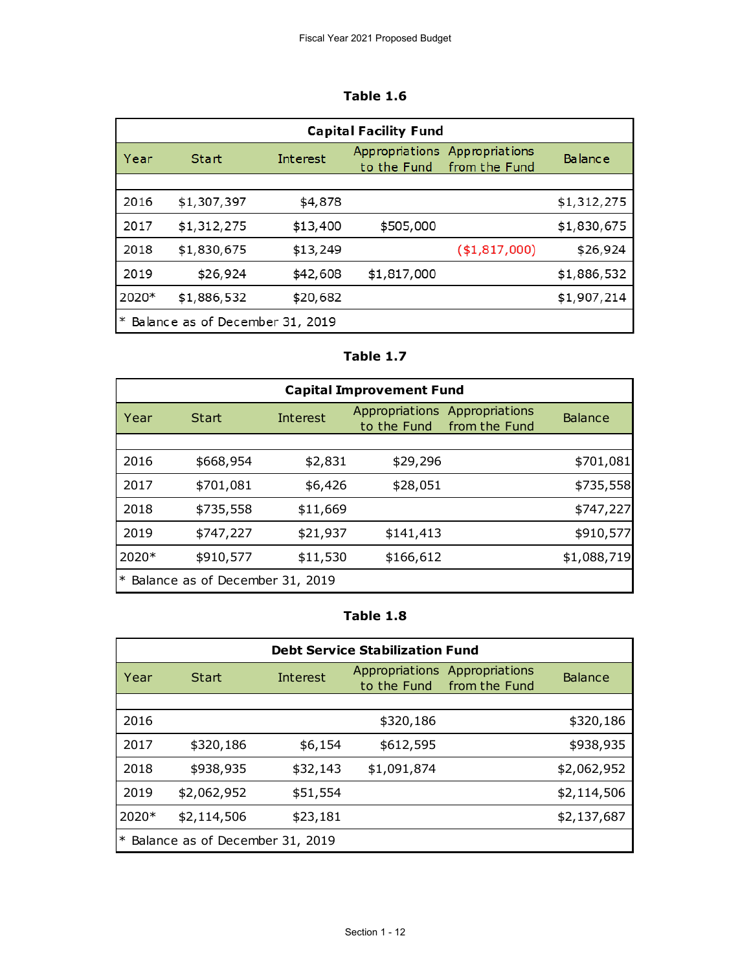| able |  | D |
|------|--|---|
|------|--|---|

|        | <b>Capital Facility Fund</b>    |          |                                                                  |                |                |  |  |  |  |  |
|--------|---------------------------------|----------|------------------------------------------------------------------|----------------|----------------|--|--|--|--|--|
| Year   | <b>Start</b>                    | Interest | Appropriations<br>Appropriations<br>from the Fund<br>to the Fund |                | <b>Balance</b> |  |  |  |  |  |
|        |                                 |          |                                                                  |                |                |  |  |  |  |  |
| 2016   | \$1,307,397                     | \$4,878  |                                                                  |                | \$1,312,275    |  |  |  |  |  |
| 2017   | \$1,312,275                     | \$13,400 | \$505,000                                                        |                | \$1,830,675    |  |  |  |  |  |
| 2018   | \$1,830,675                     | \$13,249 |                                                                  | ( \$1,817,000) | \$26,924       |  |  |  |  |  |
| 2019   | \$26,924                        | \$42,608 | \$1,817,000                                                      |                | \$1,886,532    |  |  |  |  |  |
| 2020*  | \$1,886,532                     | \$20,682 |                                                                  |                | \$1,907,214    |  |  |  |  |  |
| $\ast$ | Balance as of December 31, 2019 |          |                                                                  |                |                |  |  |  |  |  |

#### **Table 1.7**

| <b>Capital Improvement Fund</b> |                                 |                 |             |                                                |                |  |  |  |  |
|---------------------------------|---------------------------------|-----------------|-------------|------------------------------------------------|----------------|--|--|--|--|
| Year                            | Start                           | <b>Interest</b> | to the Fund | Appropriations Appropriations<br>from the Fund | <b>Balance</b> |  |  |  |  |
|                                 |                                 |                 |             |                                                |                |  |  |  |  |
| 2016                            | \$668,954                       | \$2,831         | \$29,296    |                                                | \$701,081      |  |  |  |  |
| 2017                            | \$701,081                       | \$6,426         | \$28,051    |                                                | \$735,558      |  |  |  |  |
| 2018                            | \$735,558                       | \$11,669        |             |                                                | \$747,227      |  |  |  |  |
| 2019                            | \$747,227                       | \$21,937        | \$141,413   |                                                | \$910,577      |  |  |  |  |
| 2020*                           | \$910,577                       | \$11,530        | \$166,612   |                                                | \$1,088,719    |  |  |  |  |
| $\ast$                          | Balance as of December 31, 2019 |                 |             |                                                |                |  |  |  |  |

## **Table 1.8**

|        | <b>Debt Service Stabilization Fund</b> |                 |                |                                             |                |  |  |  |  |  |
|--------|----------------------------------------|-----------------|----------------|---------------------------------------------|----------------|--|--|--|--|--|
| Year   | Start                                  | <b>Interest</b> | Appropriations | Appropriations<br>to the Fund from the Fund | <b>Balance</b> |  |  |  |  |  |
|        |                                        |                 |                |                                             |                |  |  |  |  |  |
| 2016   |                                        |                 | \$320,186      |                                             | \$320,186      |  |  |  |  |  |
| 2017   | \$320,186                              | \$6,154         | \$612,595      |                                             | \$938,935      |  |  |  |  |  |
| 2018   | \$938,935                              | \$32,143        | \$1,091,874    |                                             | \$2,062,952    |  |  |  |  |  |
| 2019   | \$2,062,952                            | \$51,554        |                |                                             | \$2,114,506    |  |  |  |  |  |
| 2020*  | \$2,114,506                            | \$23,181        |                |                                             | \$2,137,687    |  |  |  |  |  |
| $\ast$ | Balance as of December 31, 2019        |                 |                |                                             |                |  |  |  |  |  |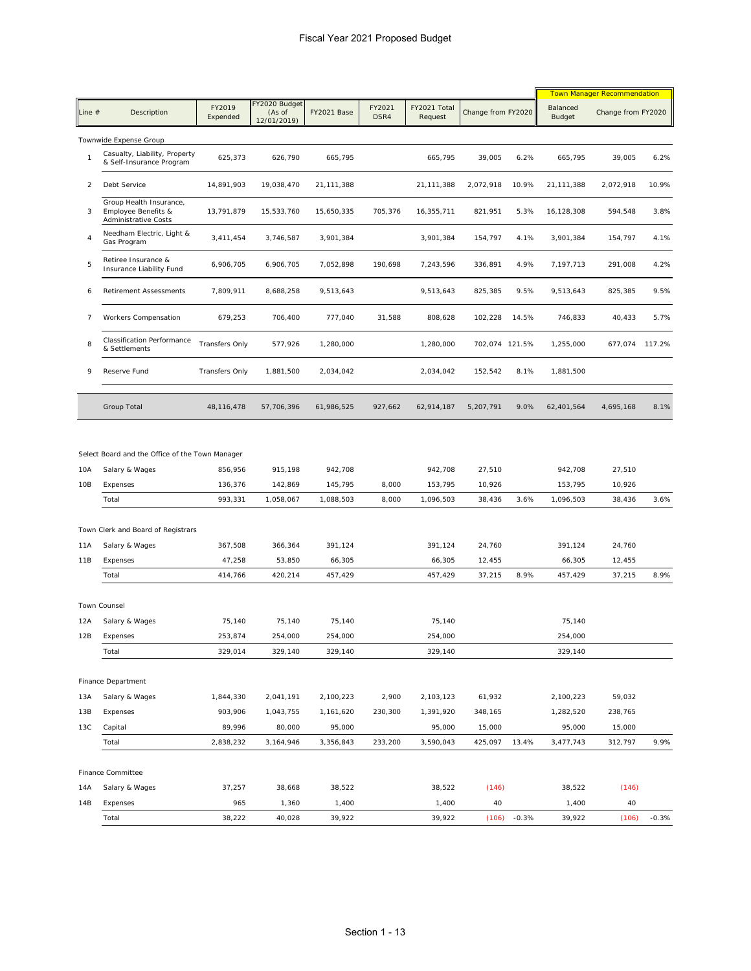|            |                                                                               |                               |                                        |                                 |                |                                 |                            |               |                                 | <b>Town Manager Recommendation</b> |         |
|------------|-------------------------------------------------------------------------------|-------------------------------|----------------------------------------|---------------------------------|----------------|---------------------------------|----------------------------|---------------|---------------------------------|------------------------------------|---------|
| Line #     | Description                                                                   | FY2019<br>Expended            | FY2020 Budget<br>(As of<br>12/01/2019) | FY2021 Base                     | FY2021<br>DSR4 | FY2021 Total<br>Request         | Change from FY2020         |               | Balanced<br>Budget              | Change from FY2020                 |         |
|            | Townwide Expense Group                                                        |                               |                                        |                                 |                |                                 |                            |               |                                 |                                    |         |
| 1          | Casualty, Liability, Property<br>& Self-Insurance Program                     | 625,373                       | 626,790                                | 665,795                         |                | 665,795                         | 39,005                     | 6.2%          | 665,795                         | 39,005                             | 6.2%    |
| 2          | Debt Service                                                                  | 14,891,903                    | 19,038,470                             | 21,111,388                      |                | 21,111,388                      | 2,072,918                  | 10.9%         | 21,111,388                      | 2,072,918                          | 10.9%   |
| 3          | Group Health Insurance,<br>Employee Benefits &<br><b>Administrative Costs</b> | 13,791,879                    | 15,533,760                             | 15,650,335                      | 705,376        | 16,355,711                      | 821,951                    | 5.3%          | 16,128,308                      | 594,548                            | 3.8%    |
| 4          | Needham Electric, Light &<br>Gas Program                                      | 3,411,454                     | 3,746,587                              | 3,901,384                       |                | 3,901,384                       | 154,797                    | 4.1%          | 3,901,384                       | 154,797                            | 4.1%    |
| 5          | Retiree Insurance &<br>Insurance Liability Fund                               | 6,906,705                     | 6,906,705                              | 7,052,898                       | 190,698        | 7,243,596                       | 336,891                    | 4.9%          | 7,197,713                       | 291,008                            | 4.2%    |
| 6          | <b>Retirement Assessments</b>                                                 | 7,809,911                     | 8,688,258                              | 9,513,643                       |                | 9,513,643                       | 825,385                    | 9.5%          | 9,513,643                       | 825,385                            | 9.5%    |
| 7          | Workers Compensation                                                          | 679,253                       | 706,400                                | 777,040                         | 31,588         | 808,628                         | 102,228                    | 14.5%         | 746,833                         | 40,433                             | 5.7%    |
| 8          | <b>Classification Performance</b><br>& Settlements                            | <b>Transfers Only</b>         | 577,926                                | 1,280,000                       |                | 1,280,000                       | 702,074 121.5%             |               | 1,255,000                       | 677,074 117.2%                     |         |
| 9          | Reserve Fund                                                                  | <b>Transfers Only</b>         | 1,881,500                              | 2,034,042                       |                | 2,034,042                       | 152,542                    | 8.1%          | 1,881,500                       |                                    |         |
|            | Group Total                                                                   | 48,116,478                    | 57,706,396                             | 61,986,525                      | 927,662        | 62,914,187                      | 5,207,791                  | 9.0%          | 62,401,564                      | 4,695,168                          | 8.1%    |
| 10A<br>10B | Salary & Wages<br>Expenses<br>Total                                           | 856,956<br>136,376<br>993,331 | 915,198<br>142,869<br>1,058,067        | 942,708<br>145,795<br>1,088,503 | 8,000<br>8,000 | 942,708<br>153,795<br>1,096,503 | 27,510<br>10,926<br>38,436 | 3.6%          | 942,708<br>153,795<br>1,096,503 | 27,510<br>10,926<br>38,436         | 3.6%    |
|            |                                                                               |                               |                                        |                                 |                |                                 |                            |               |                                 |                                    |         |
|            | Town Clerk and Board of Registrars                                            |                               |                                        |                                 |                |                                 |                            |               |                                 |                                    |         |
| 11A<br>11B | Salary & Wages<br>Expenses                                                    | 367,508<br>47,258             | 366,364<br>53,850                      | 391,124<br>66,305               |                | 391,124<br>66,305               | 24,760<br>12,455           |               | 391,124<br>66,305               | 24,760<br>12,455                   |         |
|            | Total                                                                         | 414,766                       | 420,214                                | 457,429                         |                | 457,429                         | 37,215                     | 8.9%          | 457,429                         | 37,215                             | 8.9%    |
|            | <b>Town Counsel</b>                                                           |                               |                                        |                                 |                |                                 |                            |               |                                 |                                    |         |
| 12A        | Salary & Wages                                                                | 75,140                        | 75,140                                 | 75,140                          |                | 75,140                          |                            |               | 75,140                          |                                    |         |
|            | 12B Expenses                                                                  | 253,874                       | 254,000                                | 254,000                         |                | 254,000                         |                            |               | 254,000                         |                                    |         |
|            | Total                                                                         | 329,014                       | 329,140                                | 329,140                         |                | 329,140                         |                            |               | 329,140                         |                                    |         |
|            | Finance Department                                                            |                               |                                        |                                 |                |                                 |                            |               |                                 |                                    |         |
| 13A        | Salary & Wages                                                                | 1,844,330                     | 2,041,191                              | 2,100,223                       | 2,900          | 2,103,123                       | 61,932                     |               | 2,100,223                       | 59,032                             |         |
| 13B        | Expenses                                                                      | 903,906                       | 1,043,755                              | 1,161,620                       | 230,300        | 1,391,920                       | 348,165                    |               | 1,282,520                       | 238,765                            |         |
| 13C        | Capital                                                                       | 89,996                        | 80,000                                 | 95,000                          |                | 95,000                          | 15,000                     |               | 95,000                          | 15,000                             |         |
|            | Total                                                                         | 2,838,232                     | 3,164,946                              | 3,356,843                       | 233,200        | 3,590,043                       | 425,097                    | 13.4%         | 3,477,743                       | 312,797                            | 9.9%    |
|            |                                                                               |                               |                                        |                                 |                |                                 |                            |               |                                 |                                    |         |
|            | Finance Committee<br>Salary & Wages                                           |                               |                                        |                                 |                | 38,522                          |                            |               |                                 |                                    |         |
| 14A<br>14B | Expenses                                                                      | 37,257<br>965                 | 38,668<br>1,360                        | 38,522<br>1,400                 |                | 1,400                           | (146)<br>40                |               | 38,522<br>1,400                 | (146)<br>40                        |         |
|            | Total                                                                         | 38,222                        | 40,028                                 | 39,922                          |                | 39,922                          |                            | $(106) -0.3%$ | 39,922                          | (106)                              | $-0.3%$ |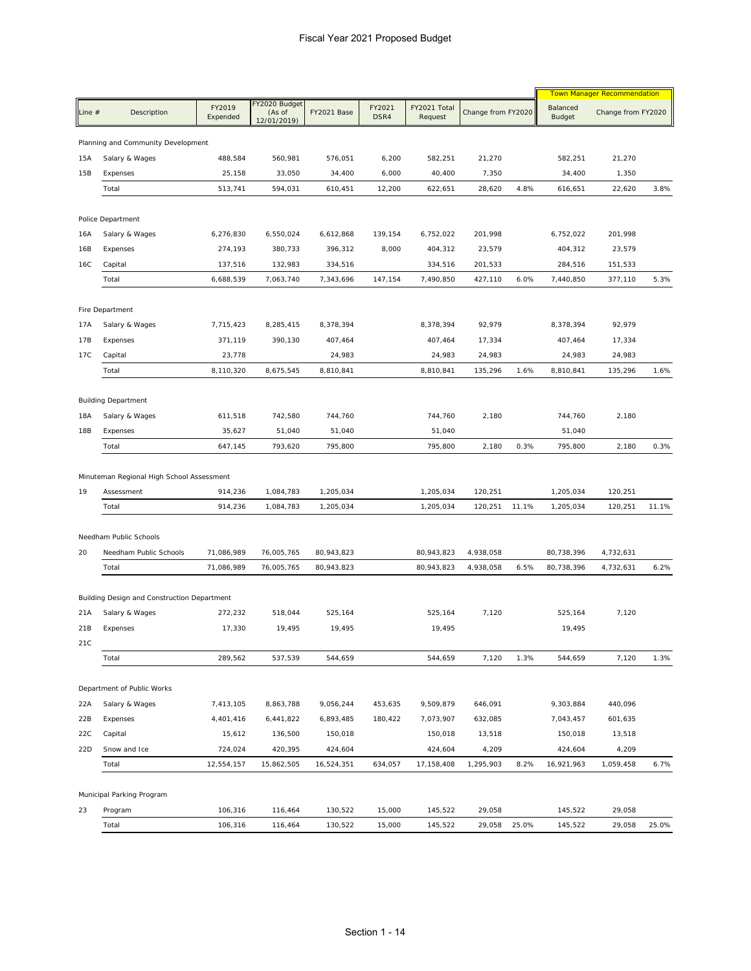|          |                                                  |                          |                                        |                          |                |                          |                        | <b>Town Manager Recommendation</b> |                          |                        |       |
|----------|--------------------------------------------------|--------------------------|----------------------------------------|--------------------------|----------------|--------------------------|------------------------|------------------------------------|--------------------------|------------------------|-------|
| Line $#$ | Description                                      | FY2019<br>Expended       | FY2020 Budget<br>(As of<br>12/01/2019) | FY2021 Base              | FY2021<br>DSR4 | FY2021 Total<br>Request  | Change from FY2020     |                                    | Balanced<br>Budget       | Change from FY2020     |       |
|          | Planning and Community Development               |                          |                                        |                          |                |                          |                        |                                    |                          |                        |       |
| 15A      | Salary & Wages                                   | 488,584                  | 560,981                                | 576,051                  | 6,200          | 582,251                  | 21,270                 |                                    | 582,251                  | 21,270                 |       |
| 15B      | Expenses                                         | 25,158                   | 33,050                                 | 34,400                   | 6,000          | 40,400                   | 7,350                  |                                    | 34,400                   | 1,350                  |       |
|          | Total                                            | 513,741                  | 594,031                                | 610,451                  | 12,200         | 622,651                  | 28,620                 | 4.8%                               | 616,651                  | 22,620                 | 3.8%  |
|          | Police Department                                |                          |                                        |                          |                |                          |                        |                                    |                          |                        |       |
| 16A      | Salary & Wages                                   | 6,276,830                | 6,550,024                              | 6,612,868                | 139,154        | 6,752,022                | 201,998                |                                    | 6,752,022                | 201,998                |       |
| 16B      | Expenses                                         | 274,193                  | 380,733                                | 396,312                  | 8,000          | 404,312                  | 23,579                 |                                    | 404,312                  | 23,579                 |       |
| 16C      | Capital                                          | 137,516                  | 132,983                                | 334,516                  |                | 334,516                  | 201,533                |                                    | 284,516                  | 151,533                |       |
|          | Total                                            | 6,688,539                | 7,063,740                              | 7,343,696                | 147,154        | 7,490,850                | 427,110                | 6.0%                               | 7,440,850                | 377,110                | 5.3%  |
|          | Fire Department                                  |                          |                                        |                          |                |                          |                        |                                    |                          |                        |       |
| 17A      | Salary & Wages                                   | 7,715,423                | 8,285,415                              | 8,378,394                |                | 8,378,394                | 92,979                 |                                    | 8,378,394                | 92,979                 |       |
| 17B      | Expenses                                         | 371,119                  | 390,130                                | 407,464                  |                | 407,464                  | 17,334                 |                                    | 407,464                  | 17,334                 |       |
| 17C      | Capital                                          | 23,778                   |                                        | 24,983                   |                | 24,983                   | 24,983                 |                                    | 24,983                   | 24,983                 |       |
|          | Total                                            | 8,110,320                | 8,675,545                              | 8,810,841                |                | 8,810,841                | 135,296                | 1.6%                               | 8,810,841                | 135,296                | 1.6%  |
|          | <b>Building Department</b>                       |                          |                                        |                          |                |                          |                        |                                    |                          |                        |       |
| 18A      | Salary & Wages                                   | 611,518                  | 742,580                                | 744,760                  |                | 744,760                  | 2,180                  |                                    | 744,760                  | 2,180                  |       |
| 18B      | Expenses                                         | 35,627                   | 51,040                                 | 51,040                   |                | 51,040                   |                        |                                    | 51,040                   |                        |       |
|          | Total                                            | 647,145                  | 793,620                                | 795,800                  |                | 795,800                  | 2,180                  | 0.3%                               | 795,800                  | 2,180                  | 0.3%  |
| 19       | Assessment<br>Total                              | 914,236<br>914,236       | 1,084,783<br>1,084,783                 | 1,205,034<br>1,205,034   |                | 1,205,034<br>1,205,034   | 120,251<br>120,251     | 11.1%                              | 1,205,034<br>1,205,034   | 120,251<br>120,251     | 11.1% |
|          |                                                  |                          |                                        |                          |                |                          |                        |                                    |                          |                        |       |
| 20       | Needham Public Schools<br>Needham Public Schools |                          |                                        |                          |                |                          |                        |                                    |                          |                        |       |
|          | Total                                            | 71,086,989<br>71,086,989 | 76,005,765<br>76,005,765               | 80,943,823<br>80,943,823 |                | 80,943,823<br>80,943,823 | 4,938,058<br>4,938,058 | 6.5%                               | 80,738,396<br>80,738,396 | 4,732,631<br>4,732,631 | 6.2%  |
|          |                                                  |                          |                                        |                          |                |                          |                        |                                    |                          |                        |       |
|          | Building Design and Construction Department      |                          |                                        |                          |                |                          |                        |                                    |                          |                        |       |
| 21A      | Salary & Wages                                   | 272,232                  | 518,044                                | 525,164                  |                | 525,164                  | 7,120                  |                                    | 525,164                  | 7,120                  |       |
| 21B      | Expenses                                         | 17,330                   | 19,495                                 | 19,495                   |                | 19,495                   |                        |                                    | 19,495                   |                        |       |
| 21C      | Total                                            | 289,562                  | 537,539                                | 544,659                  |                | 544,659                  | 7,120                  | 1.3%                               | 544,659                  | 7,120                  | 1.3%  |
|          |                                                  |                          |                                        |                          |                |                          |                        |                                    |                          |                        |       |
|          | Department of Public Works                       |                          |                                        |                          |                |                          |                        |                                    |                          |                        |       |
| 22A      | Salary & Wages                                   | 7,413,105                | 8,863,788                              | 9,056,244                | 453,635        | 9,509,879                | 646,091                |                                    | 9,303,884                | 440,096                |       |
| 22B      | Expenses                                         | 4,401,416                | 6,441,822                              | 6,893,485                | 180,422        | 7,073,907                | 632,085                |                                    | 7,043,457                | 601,635                |       |
| 22C      | Capital                                          | 15,612                   | 136,500                                | 150,018                  |                | 150,018                  | 13,518                 |                                    | 150,018                  | 13,518                 |       |
| 22D      | Snow and Ice<br>Total                            | 724,024<br>12,554,157    | 420,395                                | 424,604                  |                | 424,604                  | 4,209<br>1,295,903     | 8.2%                               | 424,604                  | 4,209                  | 6.7%  |
|          |                                                  |                          | 15,862,505                             | 16,524,351               | 634,057        | 17,158,408               |                        |                                    | 16,921,963               | 1,059,458              |       |
|          | Municipal Parking Program                        |                          |                                        |                          |                |                          |                        |                                    |                          |                        |       |
| 23       | Program                                          | 106,316                  | 116,464                                | 130,522                  | 15,000         | 145,522                  | 29,058                 |                                    | 145,522                  | 29,058                 |       |
|          | Total                                            | 106,316                  | 116,464                                | 130,522                  | 15,000         | 145,522                  | 29,058                 | 25.0%                              | 145,522                  | 29,058                 | 25.0% |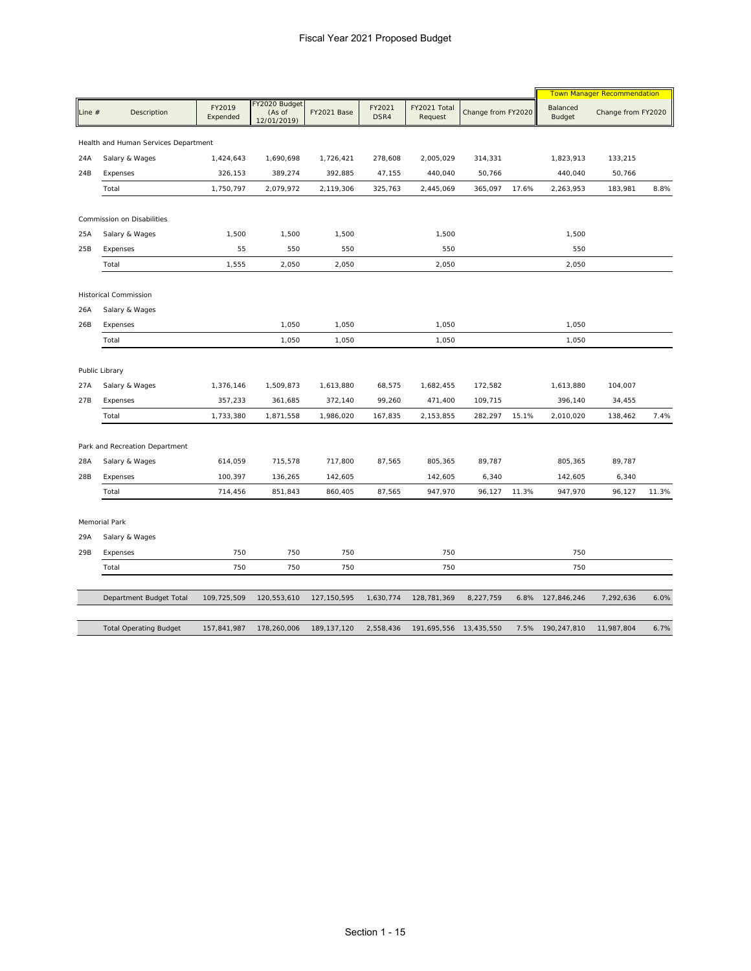|                |                                      |                    |                                        |               |                |                         |                    |       | <b>Town Manager Recommendation</b> |                    |       |
|----------------|--------------------------------------|--------------------|----------------------------------------|---------------|----------------|-------------------------|--------------------|-------|------------------------------------|--------------------|-------|
| Line $#$       | Description                          | FY2019<br>Expended | FY2020 Budget<br>(As of<br>12/01/2019) | FY2021 Base   | FY2021<br>DSR4 | FY2021 Total<br>Request | Change from FY2020 |       | Balanced<br>Budget                 | Change from FY2020 |       |
|                | Health and Human Services Department |                    |                                        |               |                |                         |                    |       |                                    |                    |       |
| 24A            | Salary & Wages                       | 1,424,643          | 1,690,698                              | 1,726,421     | 278,608        | 2,005,029               | 314,331            |       | 1,823,913                          | 133,215            |       |
| 24B            | Expenses                             | 326,153            | 389,274                                | 392,885       | 47,155         | 440,040                 | 50,766             |       | 440,040                            | 50,766             |       |
|                | Total                                | 1,750,797          | 2,079,972                              | 2,119,306     | 325,763        | 2,445,069               | 365,097            | 17.6% | 2,263,953                          | 183,981            | 8.8%  |
|                | Commission on Disabilities           |                    |                                        |               |                |                         |                    |       |                                    |                    |       |
| 25A            | Salary & Wages                       | 1,500              | 1,500                                  | 1,500         |                | 1,500                   |                    |       | 1,500                              |                    |       |
| 25B            | Expenses                             | 55                 | 550                                    | 550           |                | 550                     |                    |       | 550                                |                    |       |
|                | Total                                | 1,555              | 2,050                                  | 2,050         |                | 2,050                   |                    |       | 2,050                              |                    |       |
|                | Historical Commission                |                    |                                        |               |                |                         |                    |       |                                    |                    |       |
| 26A            | Salary & Wages                       |                    |                                        |               |                |                         |                    |       |                                    |                    |       |
| 26B            | Expenses                             |                    | 1,050                                  | 1,050         |                | 1,050                   |                    |       | 1,050                              |                    |       |
|                | Total                                |                    | 1,050                                  | 1,050         |                | 1,050                   |                    |       | 1,050                              |                    |       |
| Public Library |                                      |                    |                                        |               |                |                         |                    |       |                                    |                    |       |
| 27A            | Salary & Wages                       | 1,376,146          | 1,509,873                              | 1,613,880     | 68,575         | 1,682,455               | 172,582            |       | 1,613,880                          | 104,007            |       |
| 27B            | Expenses                             | 357,233            | 361,685                                | 372,140       | 99,260         | 471,400                 | 109,715            |       | 396,140                            | 34,455             |       |
|                | Total                                | 1,733,380          | 1,871,558                              | 1,986,020     | 167,835        | 2,153,855               | 282,297            | 15.1% | 2,010,020                          | 138,462            | 7.4%  |
|                | Park and Recreation Department       |                    |                                        |               |                |                         |                    |       |                                    |                    |       |
| 28A            | Salary & Wages                       | 614,059            | 715,578                                | 717,800       | 87,565         | 805,365                 | 89,787             |       | 805,365                            | 89,787             |       |
| 28B            | Expenses                             | 100,397            | 136,265                                | 142,605       |                | 142,605                 | 6,340              |       | 142,605                            | 6,340              |       |
|                | Total                                | 714,456            | 851,843                                | 860,405       | 87,565         | 947,970                 | 96,127             | 11.3% | 947,970                            | 96,127             | 11.3% |
|                | Memorial Park                        |                    |                                        |               |                |                         |                    |       |                                    |                    |       |
| 29A            | Salary & Wages                       |                    |                                        |               |                |                         |                    |       |                                    |                    |       |
| 29B            | Expenses                             | 750                | 750                                    | 750           |                | 750                     |                    |       | 750                                |                    |       |
|                | Total                                | 750                | 750                                    | 750           |                | 750                     |                    |       | 750                                |                    |       |
|                | Department Budget Total              |                    |                                        |               |                |                         |                    |       |                                    | 7,292,636          | 6.0%  |
|                |                                      | 109,725,509        | 120,553,610                            | 127, 150, 595 | 1,630,774      | 128,781,369             | 8,227,759          | 6.8%  | 127,846,246                        |                    |       |
|                | <b>Total Operating Budget</b>        | 157,841,987        | 178,260,006                            | 189, 137, 120 | 2,558,436      | 191,695,556             | 13,435,550         |       | 7.5% 190,247,810                   | 11,987,804         | 6.7%  |